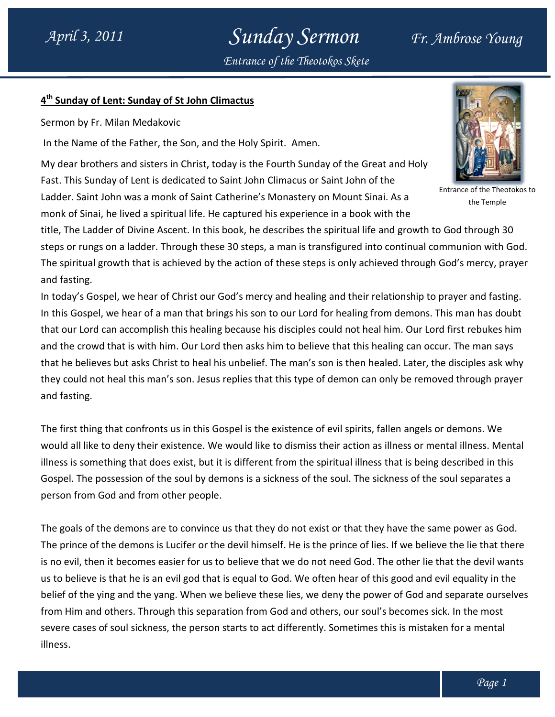## Sunday Sermon Fr. Ambrose Young Entrance of the Theotokos Skete

### 4<sup>th</sup> Sunday of Lent: Sunday of St John Climactus

Sermon by Fr. Milan Medakovic

In the Name of the Father, the Son, and the Holy Spirit. Amen.

My dear brothers and sisters in Christ, today is the Fourth Sunday of the Great and Holy<br>Fast. This Sunday of Lent is dedicated to Saint John Climacus or Saint John of the Fast. This Sunday of Lent is dedicated to Saint John Climacus or Saint John of the Ladder. Saint John was a monk of Saint Catherine's Monastery on Mount Sinai. As a monk of Sinai, he lived a spiritual life. He captured his experience in a book with the



the Temple

title, The Ladder of Divine Ascent. In this book, he describes the spiritual life and growth to God through 30 steps or rungs on a ladder. Through these 30 steps, a man is transfigured into continual communion with God. The spiritual growth that is achieved by the action of these steps is only achieved through God's mercy, prayer and fasting. Ladder. Saint John was a monk of Saint Catherine's Monastery on Mount Sinai. As a<br>
the Temple<br>
the Temple<br>
title, The Ladder of Divine Ascent. In this book, he describes the spiritual life and growth to God through 30<br>
ste

In today's Gospel, we hear of Christ our God's mercy and healing and their relationship to prayer and fasting. In this Gospel, we hear of a man that brings his son to our Lord for healing from demons. This man has doubt that our Lord can accomplish this healing because his disciples could not heal him. Our Lord first rebukes him and the crowd that is with him. Our Lord then asks him to believe that this healing can occur. The man says and the crowd that is with him. Our Lord then asks him to believe that this healing can occur. The man says<br>that he believes but asks Christ to heal his unbelief. The man's son is then healed. Later, the disciples ask why they could not heal this man's son. Jesus replies that this type of demon can only be removed through prayer and fasting. **Standary Sermon** 47. Alternation of the Thisosophysics of the Thisosophysics of the Thisosophysics of the Thisosophysics of the Thisosophysics of the Thisosophysics of the Brand State is mistaken for a Ambrose Young of th en healed. Later, the disciples ask<br>n can only be removed through pra<br>irits, fallen angels or demons. We r. Saint John was a monk of Saint Catherine's Monastery on Mount Sinai. As a<br>
of Sinai, he lived a spiritual life. He captured his experience in a book with the conforming<br>
of Entral, he lived a pricelar life . He captured

The first thing that confronts us in this Gospel is the existence of evil spirits, fallen angels or demons. We would all like to deny their existence. We would like to dismiss their action as illness or mental illness. Mental illness is something that does exist, but it is different from the spiritual illness that is being described in this Gospel. The possession of the soul by demons is a sickness of the soul. The sickness of the soul separates a<br>person from God and from other people. person from God and from other people. heal this man's son. Jesus replies that this type of demon can only be removed through praye<br>that confronts us in this Gospel is the existence of evil spirits, fallen angels or demons. We<br>o deny their existence. We would l

The goals of the demons are to convince us that they do not exist or that they have the same power as God. The prince of the demons is Lucifer or the devil himself. He is the prince of lies. If we believe the lie that there is no evil, then it becomes easier for us to believe that we do not need God. The other lie that the devil wants us to believe is that he is an evil god that is equal to God. We often hear of this good and evil equality in the belief of the ying and the yang. When we believe these lies, we deny the power of God and separate ourselves The goals of the demons are to convince us that they do not exist or that they have the same power as Gother prince of the demons is Lucifer or the devil himself. He is the prince of lies. If we believe the lie that the si severe cases of soul sickness, the person starts to act differently. Sometimes this is mistaken for a mental illness.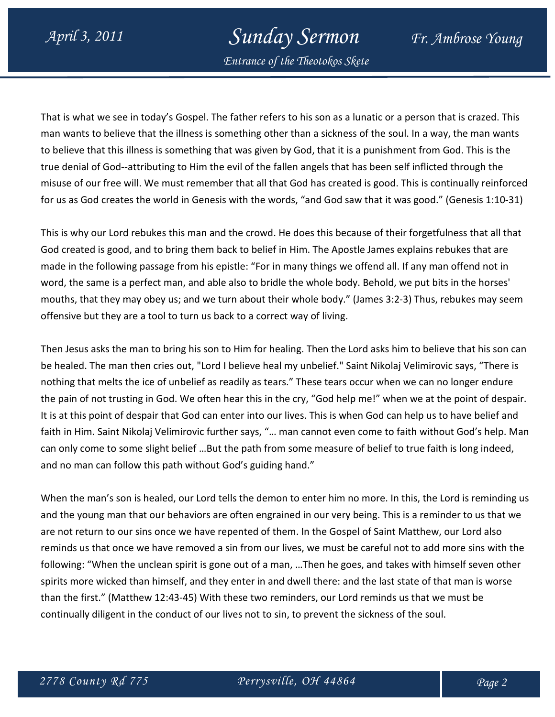# April 3, 2011 Sunday Sermon Fr. Ambrose Young

Entrance of the Theotokos Skete

That is what we see in today's Gospel. The father refers to his son as a lunatic or a person that is crazed. This man wants to believe that the illness is something other than a sickness of the soul. In a way, the man wants to believe that this illness is something that was given by God, that it is a punishment from God. This is the true denial of God--attributing to Him the evil of the fallen angels that has been self inflicted through the misuse of our free will. We must remember that all that God has created is good. This is continually reinforced for us as God creates the world in Genesis with the words, "and God saw that it was good." (Genesis 1:10-31)

This is why our Lord rebukes this man and the crowd. He does this because of their forgetfulness that all that God created is good, and to bring them back to belief in Him. The Apostle James explains rebukes that are made in the following passage from his epistle: "For in many things we offend all. If any man offend not in word, the same is a perfect man, and able also to bridle the whole body. Behold, we put bits in the horses' mouths, that they may obey us; and we turn about their whole body." (James 3:2-3) Thus, rebukes may seem offensive but they are a tool to turn us back to a correct way of living.

Then Jesus asks the man to bring his son to Him for healing. Then the Lord asks him to believe that his son can be healed. The man then cries out, "Lord I believe heal my unbelief." Saint Nikolaj Velimirovic says, "There is nothing that melts the ice of unbelief as readily as tears." These tears occur when we can no longer endure the pain of not trusting in God. We often hear this in the cry, "God help me!" when we at the point of despair. It is at this point of despair that God can enter into our lives. This is when God can help us to have belief and faith in Him. Saint Nikolaj Velimirovic further says, "… man cannot even come to faith without God's help. Man can only come to some slight belief …But the path from some measure of belief to true faith is long indeed, and no man can follow this path without God's guiding hand."

When the man's son is healed, our Lord tells the demon to enter him no more. In this, the Lord is reminding us and the young man that our behaviors are often engrained in our very being. This is a reminder to us that we are not return to our sins once we have repented of them. In the Gospel of Saint Matthew, our Lord also reminds us that once we have removed a sin from our lives, we must be careful not to add more sins with the following: "When the unclean spirit is gone out of a man, …Then he goes, and takes with himself seven other spirits more wicked than himself, and they enter in and dwell there: and the last state of that man is worse than the first." (Matthew 12:43-45) With these two reminders, our Lord reminds us that we must be continually diligent in the conduct of our lives not to sin, to prevent the sickness of the soul.